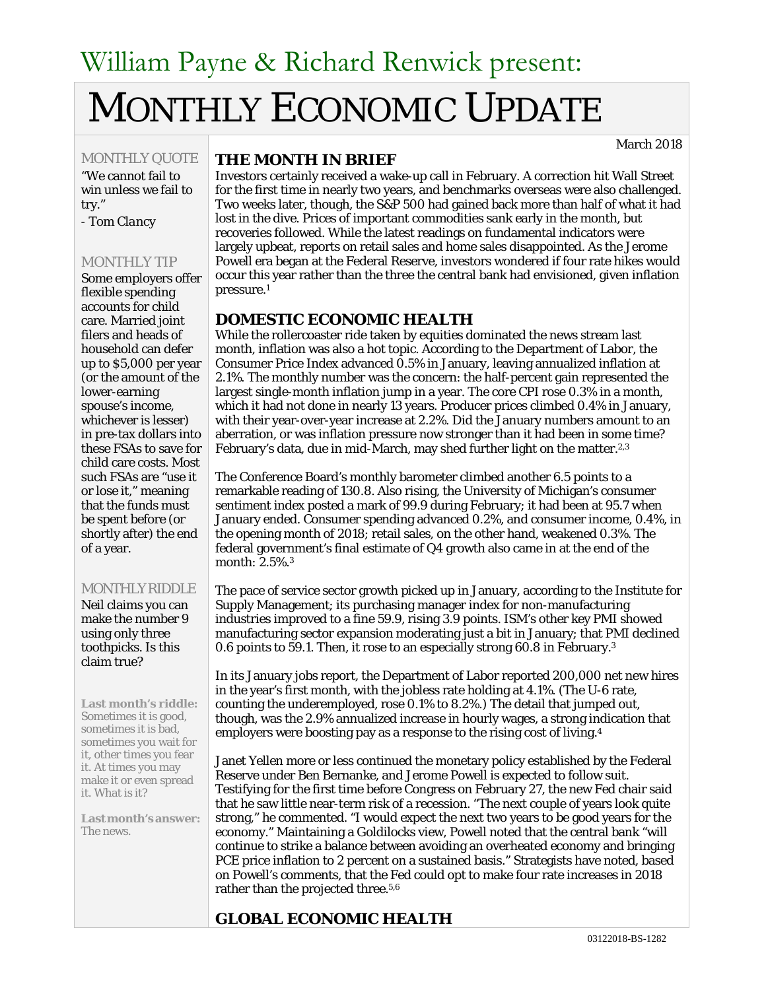# William Payne & Richard Renwick present: MONTHLY ECONOMIC UPDATE

March 2018

## MONTHLY QUOTE

"We cannot fail to win unless we fail to try."

*- Tom Clancy*

#### MONTHLY TIP

Some employers offer flexible spending accounts for child care. Married joint filers and heads of household can defer up to \$5,000 per year (or the amount of the lower-earning spouse's income, whichever is lesser) in pre-tax dollars into these FSAs to save for child care costs. Most such FSAs are "use it or lose it," meaning that the funds must be spent before (or shortly after) the end of a year.

#### MONTHLY RIDDLE

Neil claims you can make the number 9 using only three toothpicks. Is this claim true?

**Last month's riddle:** Sometimes it is good, sometimes it is bad, sometimes you wait for it, other times you fear it. At times you may make it or even spread it. What is it?

**Lastmonth'sanswer:** The news.

#### **THE MONTH IN BRIEF**

Investors certainly received a wake-up call in February. A correction hit Wall Street for the first time in nearly two years, and benchmarks overseas were also challenged. Two weeks later, though, the S&P 500 had gained back more than half of what it had lost in the dive. Prices of important commodities sank early in the month, but recoveries followed. While the latest readings on fundamental indicators were largely upbeat, reports on retail sales and home sales disappointed. As the Jerome Powell era began at the Federal Reserve, investors wondered if four rate hikes would occur this year rather than the three the central bank had envisioned, given inflation pressure.1

## **DOMESTIC ECONOMIC HEALTH**

While the rollercoaster ride taken by equities dominated the news stream last month, inflation was also a hot topic. According to the Department of Labor, the Consumer Price Index advanced 0.5% in January, leaving annualized inflation at 2.1%. The monthly number was the concern: the half-percent gain represented the largest single-month inflation jump in a year. The core CPI rose 0.3% in a month, which it had not done in nearly 13 years. Producer prices climbed 0.4% in January, with their year-over-year increase at 2.2%. Did the January numbers amount to an aberration, or was inflation pressure now stronger than it had been in some time? February's data, due in mid-March, may shed further light on the matter.<sup>2,3</sup>

The Conference Board's monthly barometer climbed another 6.5 points to a remarkable reading of 130.8. Also rising, the University of Michigan's consumer sentiment index posted a mark of 99.9 during February; it had been at 95.7 when January ended. Consumer spending advanced 0.2%, and consumer income, 0.4%, in the opening month of 2018; retail sales, on the other hand, weakened 0.3%. The federal government's final estimate of Q4 growth also came in at the end of the month: 2.5%.3

The pace of service sector growth picked up in January, according to the Institute for Supply Management; its purchasing manager index for non-manufacturing industries improved to a fine 59.9, rising 3.9 points. ISM's other key PMI showed manufacturing sector expansion moderating just a bit in January; that PMI declined 0.6 points to 59.1. Then, it rose to an especially strong 60.8 in February.3

In its January jobs report, the Department of Labor reported 200,000 net new hires in the year's first month, with the jobless rate holding at 4.1%. (The U-6 rate, counting the underemployed, rose 0.1% to 8.2%.) The detail that jumped out, though, was the 2.9% annualized increase in hourly wages, a strong indication that employers were boosting pay as a response to the rising cost of living.4

Janet Yellen more or less continued the monetary policy established by the Federal Reserve under Ben Bernanke, and Jerome Powell is expected to follow suit. Testifying for the first time before Congress on February 27, the new Fed chair said that he saw little near-term risk of a recession. "The next couple of years look quite strong," he commented. "I would expect the next two years to be good years for the economy." Maintaining a Goldilocks view, Powell noted that the central bank "will continue to strike a balance between avoiding an overheated economy and bringing PCE price inflation to 2 percent on a sustained basis." Strategists have noted, based on Powell's comments, that the Fed could opt to make four rate increases in 2018 rather than the projected three.5,6

# **GLOBAL ECONOMIC HEALTH**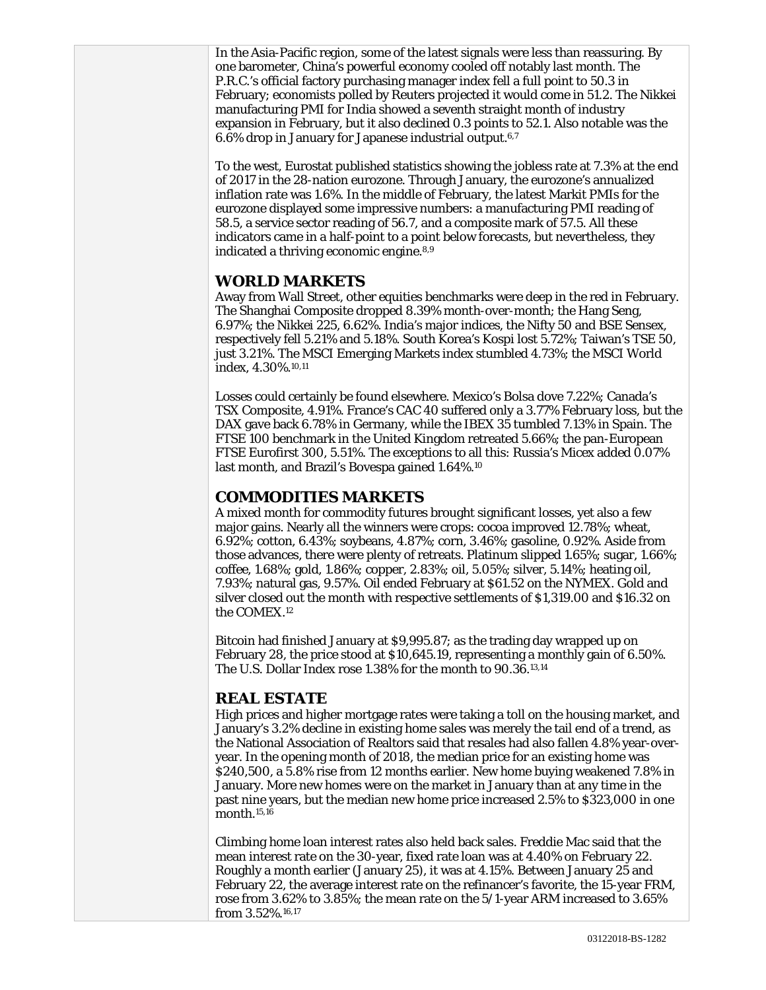In the Asia-Pacific region, some of the latest signals were less than reassuring. By one barometer, China's powerful economy cooled off notably last month. The P.R.C.'s official factory purchasing manager index fell a full point to 50.3 in February; economists polled by Reuters projected it would come in 51.2. The Nikkei manufacturing PMI for India showed a seventh straight month of industry expansion in February, but it also declined 0.3 points to 52.1. Also notable was the 6.6% drop in January for Japanese industrial output.6,7

To the west, Eurostat published statistics showing the jobless rate at 7.3% at the end of 2017 in the 28-nation eurozone. Through January, the eurozone's annualized inflation rate was 1.6%. In the middle of February, the latest Markit PMIs for the eurozone displayed some impressive numbers: a manufacturing PMI reading of 58.5, a service sector reading of 56.7, and a composite mark of 57.5. All these indicators came in a half-point to a point below forecasts, but nevertheless, they indicated a thriving economic engine.8,9

## **WORLD MARKETS**

Away from Wall Street, other equities benchmarks were deep in the red in February. The Shanghai Composite dropped 8.39% month-over-month; the Hang Seng, 6.97%; the Nikkei 225, 6.62%. India's major indices, the Nifty 50 and BSE Sensex, respectively fell 5.21% and 5.18%. South Korea's Kospi lost 5.72%; Taiwan's TSE 50, just 3.21%. The MSCI Emerging Markets index stumbled 4.73%; the MSCI World index, 4.30%.10,11

Losses could certainly be found elsewhere. Mexico's Bolsa dove 7.22%; Canada's TSX Composite, 4.91%. France's CAC 40 suffered only a 3.77% February loss, but the DAX gave back 6.78% in Germany, while the IBEX 35 tumbled 7.13% in Spain. The FTSE 100 benchmark in the United Kingdom retreated 5.66%; the pan-European FTSE Eurofirst 300, 5.51%. The exceptions to all this: Russia's Micex added 0.07% last month, and Brazil's Bovespa gained 1.64%.10

## **COMMODITIES MARKETS**

A mixed month for commodity futures brought significant losses, yet also a few major gains. Nearly all the winners were crops: cocoa improved 12.78%; wheat, 6.92%; cotton, 6.43%; soybeans, 4.87%; corn, 3.46%; gasoline, 0.92%. Aside from those advances, there were plenty of retreats. Platinum slipped 1.65%; sugar, 1.66%; coffee, 1.68%; gold, 1.86%; copper, 2.83%; oil, 5.05%; silver, 5.14%; heating oil, 7.93%; natural gas, 9.57%. Oil ended February at \$61.52 on the NYMEX. Gold and silver closed out the month with respective settlements of \$1,319.00 and \$16.32 on the COMEX.12

Bitcoin had finished January at \$9,995.87; as the trading day wrapped up on February 28, the price stood at \$10,645.19, representing a monthly gain of 6.50%. The U.S. Dollar Index rose 1.38% for the month to 90.36.13,14

# **REAL ESTATE**

High prices and higher mortgage rates were taking a toll on the housing market, and January's 3.2% decline in existing home sales was merely the tail end of a trend, as the National Association of Realtors said that resales had also fallen 4.8% year-overyear. In the opening month of 2018, the median price for an existing home was \$240,500, a 5.8% rise from 12 months earlier. New home buying weakened 7.8% in January. More new homes were on the market in January than at any time in the past nine years, but the median new home price increased 2.5% to \$323,000 in one month.15,16

Climbing home loan interest rates also held back sales. Freddie Mac said that the mean interest rate on the 30-year, fixed rate loan was at 4.40% on February 22. Roughly a month earlier (January 25), it was at 4.15%. Between January 25 and February 22, the average interest rate on the refinancer's favorite, the 15-year FRM, rose from 3.62% to 3.85%; the mean rate on the 5/1-year ARM increased to 3.65% from 3.52%.16,17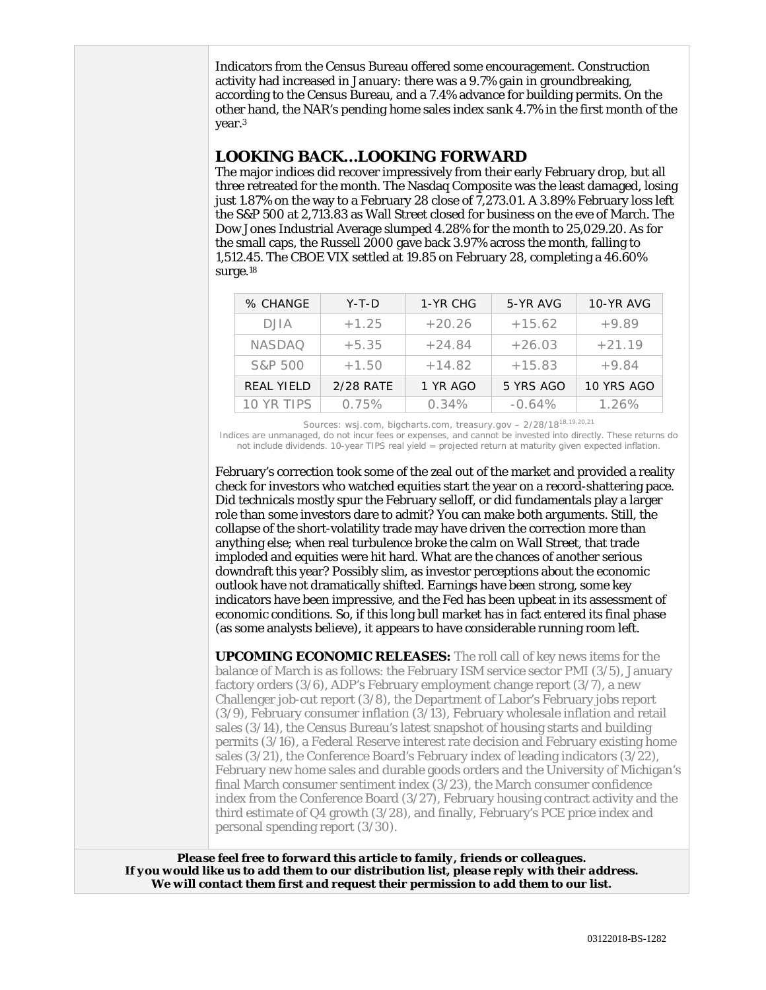Indicators from the Census Bureau offered some encouragement. Construction activity had increased in January: there was a 9.7% gain in groundbreaking, according to the Census Bureau, and a 7.4% advance for building permits. On the other hand, the NAR's pending home sales index sank 4.7% in the first month of the year.3

#### **LOOKING BACK…LOOKING FORWARD**

The major indices did recover impressively from their early February drop, but all three retreated for the month. The Nasdaq Composite was the least damaged, losing just 1.87% on the way to a February 28 close of 7,273.01. A 3.89% February loss left the S&P 500 at 2,713.83 as Wall Street closed for business on the eve of March. The Dow Jones Industrial Average slumped 4.28% for the month to 25,029.20. As for the small caps, the Russell 2000 gave back 3.97% across the month, falling to 1,512.45. The CBOE VIX settled at 19.85 on February 28, completing a 46.60% surge.18

| % CHANGE          | $Y-T-D$   | 1-YR CHG | 5-YR AVG  | 10-YR AVG  |
|-------------------|-----------|----------|-----------|------------|
| DJIA              | $+1.25$   | $+20.26$ | $+15.62$  | $+9.89$    |
| <b>NASDAO</b>     | $+5.35$   | $+24.84$ | $+26.03$  | $+21.19$   |
| S&P 500           | $+1.50$   | $+14.82$ | $+15.83$  | $+9.84$    |
| <b>REAL YIELD</b> | 2/28 RATE | 1 YR AGO | 5 YRS AGO | 10 YRS AGO |
| 10 YR TIPS        | 0.75%     | 0.34%    | $-0.64\%$ | 1.26%      |

Sources: wsj.com, bigcharts.com, treasury.gov - 2/28/18<sup>18,19,20,21</sup>

Indices are unmanaged, do not incur fees or expenses, and cannot be invested into directly. These returns do not include dividends. 10-year TIPS real yield = projected return at maturity given expected inflation.

February's correction took some of the zeal out of the market and provided a reality check for investors who watched equities start the year on a record-shattering pace. Did technicals mostly spur the February selloff, or did fundamentals play a larger role than some investors dare to admit? You can make both arguments. Still, the collapse of the short-volatility trade may have driven the correction more than anything else; when real turbulence broke the calm on Wall Street, that trade imploded and equities were hit hard. What are the chances of another serious downdraft this year? Possibly slim, as investor perceptions about the economic outlook have not dramatically shifted. Earnings have been strong, some key indicators have been impressive, and the Fed has been upbeat in its assessment of economic conditions. So, if this long bull market has in fact entered its final phase (as some analysts believe), it appears to have considerable running room left.

**UPCOMING ECONOMIC RELEASES:** The roll call of key news items for the balance of March is as follows: the February ISM service sector PMI (3/5), January factory orders (3/6), ADP's February employment change report (3/7), a new Challenger job-cut report (3/8), the Department of Labor's February jobs report (3/9), February consumer inflation (3/13), February wholesale inflation and retail sales (3/14), the Census Bureau's latest snapshot of housing starts and building permits (3/16), a Federal Reserve interest rate decision and February existing home sales (3/21), the Conference Board's February index of leading indicators (3/22), February new home sales and durable goods orders and the University of Michigan's final March consumer sentiment index (3/23), the March consumer confidence index from the Conference Board (3/27), February housing contract activity and the third estimate of Q4 growth (3/28), and finally, February's PCE price index and personal spending report (3/30).

*Please feel free to forward this article to family, friends or colleagues. If you would like us to add them to our distribution list, please reply with their address. We will contact them first and request their permission to add them to our list.*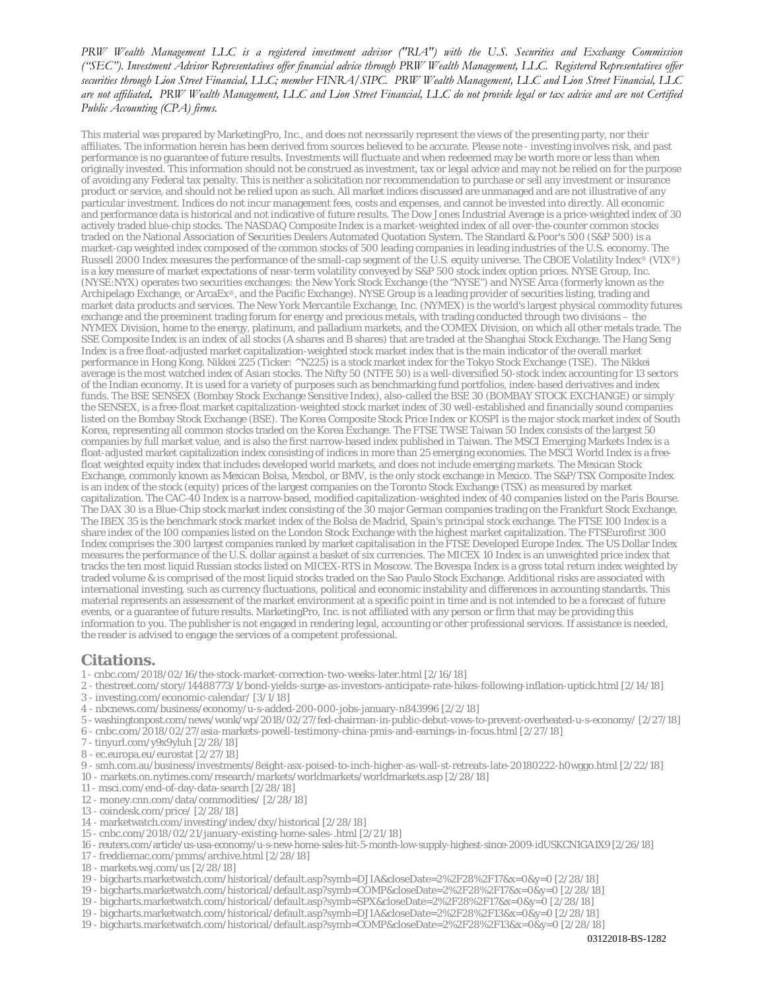#### *PRW Wealth Management LLC is a registered investment advisor ("RIA") with the U.S. Securities and Exchange Commission ("SEC"). Investment Advisor Representatives offer financial advice through PRW Wealth Management, LLC. Registered Representatives offer securities through Lion Street Financial, LLC; member FINRA/SIPC. PRW Wealth Management, LLC and Lion Street Financial, LLC are not affiliated*. *PRW Wealth Management, LLC and Lion Street Financial, LLC do not provide legal or tax advice and are not Certified Public Accounting (CPA) firms.*

This material was prepared by MarketingPro, Inc., and does not necessarily represent the views of the presenting party, nor their affiliates. The information herein has been derived from sources believed to be accurate. Please note - investing involves risk, and past performance is no guarantee of future results. Investments will fluctuate and when redeemed may be worth more or less than when originally invested. This information should not be construed as investment, tax or legal advice and may not be relied on for the purpose of avoiding any Federal tax penalty. This is neither a solicitation nor recommendation to purchase or sell any investment or insurance product or service, and should not be relied upon as such. All market indices discussed are unmanaged and are not illustrative of any particular investment. Indices do not incur management fees, costs and expenses, and cannot be invested into directly. All economic and performance data is historical and not indicative of future results. The Dow Jones Industrial Average is a price-weighted index of 30 actively traded blue-chip stocks. The NASDAQ Composite Index is a market-weighted index of all over-the-counter common stocks traded on the National Association of Securities Dealers Automated Quotation System. The Standard & Poor's 500 (S&P 500) is a market-cap weighted index composed of the common stocks of 500 leading companies in leading industries of the U.S. economy. The Russell 2000 Index measures the performance of the small-cap segment of the U.S. equity universe. The CBOE Volatility Index® (VIX®) is a key measure of market expectations of near-term volatility conveyed by S&P 500 stock index option prices. NYSE Group, Inc. (NYSE:NYX) operates two securities exchanges: the New York Stock Exchange (the "NYSE") and NYSE Arca (formerly known as the Archipelago Exchange, or ArcaEx®, and the Pacific Exchange). NYSE Group is a leading provider of securities listing, trading and market data products and services. The New York Mercantile Exchange, Inc. (NYMEX) is the world's largest physical commodity futures exchange and the preeminent trading forum for energy and precious metals, with trading conducted through two divisions – the NYMEX Division, home to the energy, platinum, and palladium markets, and the COMEX Division, on which all other metals trade. The SSE Composite Index is an index of all stocks (A shares and B shares) that are traded at the Shanghai Stock Exchange. The Hang Seng Index is a free float-adjusted market capitalization-weighted stock market index that is the main indicator of the overall market performance in Hong Kong. Nikkei 225 (Ticker: ^N225) is a stock market index for the Tokyo Stock Exchange (TSE). The Nikkei average is the most watched index of Asian stocks. The Nifty 50 (NTFE 50) is a well-diversified 50-stock index accounting for 13 sectors of the Indian economy. It is used for a variety of purposes such as benchmarking fund portfolios, index-based derivatives and index funds. The BSE SENSEX (Bombay Stock Exchange Sensitive Index), also-called the BSE 30 (BOMBAY STOCK EXCHANGE) or simply the SENSEX, is a free-float market capitalization-weighted stock market index of 30 well-established and financially sound companies listed on the Bombay Stock Exchange (BSE). The Korea Composite Stock Price Index or KOSPI is the major stock market index of South Korea, representing all common stocks traded on the Korea Exchange. The FTSE TWSE Taiwan 50 Index consists of the largest 50 companies by full market value, and is also the first narrow-based index published in Taiwan. The MSCI Emerging Markets Index is a float-adjusted market capitalization index consisting of indices in more than 25 emerging economies. The MSCI World Index is a freefloat weighted equity index that includes developed world markets, and does not include emerging markets. The Mexican Stock Exchange, commonly known as Mexican Bolsa, Mexbol, or BMV, is the only stock exchange in Mexico. The S&P/TSX Composite Index is an index of the stock (equity) prices of the largest companies on the Toronto Stock Exchange (TSX) as measured by market capitalization. The CAC-40 Index is a narrow-based, modified capitalization-weighted index of 40 companies listed on the Paris Bourse. The DAX 30 is a Blue-Chip stock market index consisting of the 30 major German companies trading on the Frankfurt Stock Exchange. The IBEX 35 is the benchmark stock market index of the Bolsa de Madrid, Spain's principal stock exchange. The FTSE 100 Index is a share index of the 100 companies listed on the London Stock Exchange with the highest market capitalization. The FTSEurofirst 300 Index comprises the 300 largest companies ranked by market capitalisation in the FTSE Developed Europe Index. The US Dollar Index measures the performance of the U.S. dollar against a basket of six currencies. The MICEX 10 Index is an unweighted price index that tracks the ten most liquid Russian stocks listed on MICEX-RTS in Moscow. The Bovespa Index is a gross total return index weighted by traded volume & is comprised of the most liquid stocks traded on the Sao Paulo Stock Exchange. Additional risks are associated with international investing, such as currency fluctuations, political and economic instability and differences in accounting standards. This material represents an assessment of the market environment at a specific point in time and is not intended to be a forecast of future events, or a guarantee of future results. MarketingPro, Inc. is not affiliated with any person or firm that may be providing this information to you. The publisher is not engaged in rendering legal, accounting or other professional services. If assistance is needed, the reader is advised to engage the services of a competent professional.

#### **Citations.**

1 - cnbc.com/2018/02/16/the-stock-market-correction-two-weeks-later.html  $\left[2/16/18\right]$ 

- 2 thestreet.com/story/14488773/1/bond-yields-surge-as-investors-anticipate-rate-hikes-following-inflation-uptick.html [2/14/18]
- 3 investing.com/economic-calendar/ [3/1/18]
- 4 nbcnews.com/business/economy/u-s-added-200-000-jobs-january-n843996 [2/2/18]
- 5 washingtonpost.com/news/wonk/wp/2018/02/27/fed-chairman-in-public-debut-vows-to-prevent-overheated-u-s-economy/ [2/27/18]
- 6 cnbc.com/2018/02/27/asia-markets-powell-testimony-china-pmis-and-earnings-in-focus.html [2/27/18]
- 7 tinyurl.com/y9x9yluh [2/28/18]
- 8 ec.europa.eu/eurostat [2/27/18]
- 9 smh.com.au/business/investments/8eight-asx-poised-to-inch-higher-as-wall-st-retreats-late-20180222-h0wggo.html [2/22/18]
- 10 markets.on.nytimes.com/research/markets/worldmarkets/worldmarkets.asp [2/28/18]
- 11 msci.com/end-of-day-data-search [2/28/18]
- 12 money.cnn.com/data/commodities/ [2/28/18]
- 13 coindesk.com/price/ [2/28/18]
- 14 marketwatch.com/investing/index/dxy/historical [2/28/18]
- 15 cnbc.com/2018/02/21/january-existing-home-sales-.html [2/21/18]
- 16 reuters.com/article/us-usa-economy/u-s-new-home-sales-hit-5-month-low-supply-highest-since-2009-idUSKCN1GA1X9 [2/26/18]
- 17 freddiemac.com/pmms/archive.html [2/28/18]
- 18 markets.wsj.com/us [2/28/18]
- 19 bigcharts.marketwatch.com/historical/default.asp?symb=DJIA&closeDate=2%2F28%2F17&x=0&y=0 [2/28/18]
- 19 bigcharts.marketwatch.com/historical/default.asp?symb=COMP&closeDate=2%2F28%2F17&x=0&y=0 [2/28/18]
- 19 bigcharts.marketwatch.com/historical/default.asp?symb=SPX&closeDate=2%2F28%2F17&x=0&y=0 [2/28/18]
- 19 bigcharts.marketwatch.com/historical/default.asp?symb=DJIA&closeDate=2%2F28%2F13&x=0&y=0 [2/28/18]
- 19 bigcharts.marketwatch.com/historical/default.asp?symb=COMP&closeDate=2%2F28%2F13&x=0&y=0 [2/28/18]